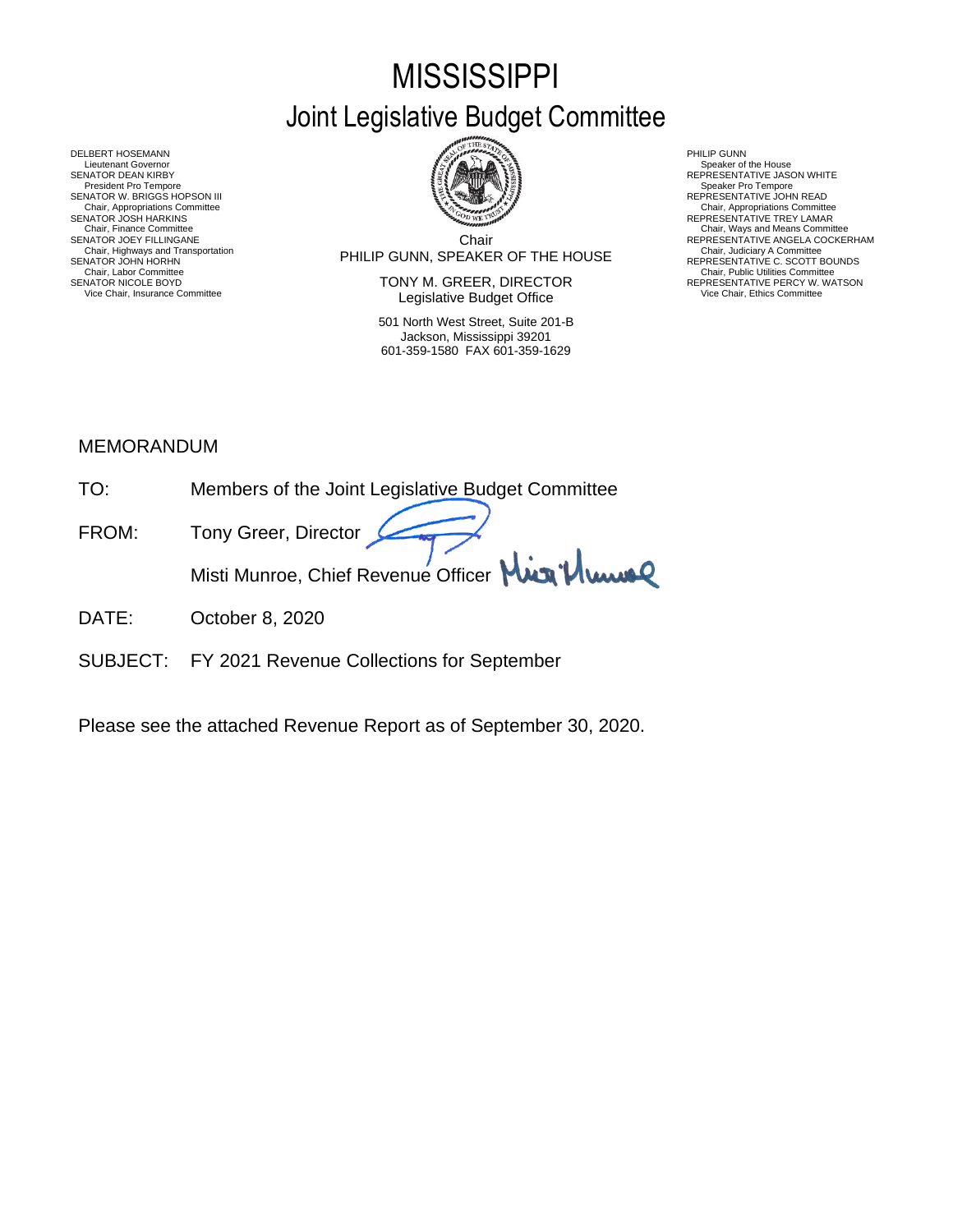# **MISSISSIPPI** Joint Legislative Budget Committee



Chair PHILIP GUNN, SPEAKER OF THE HOUSE Chair, Highways and Transportation Chair, Judiciary A Committee SENATOR JOHN HORHN REPRESENTATIVE C. SCOTT BOUNDS

SENATOR NICOLE BOYD **SENATOR SENATOR SENATOR SENATOR SEPRESENTATIVE PERCY W. WATSON** Vice Chair, Insurance Committee **Network Committee Legislative Budget Office** Mair, Insurance Committee Vice Chair, Ethics Committee

> 501 North West Street, Suite 201-B Jackson, Mississippi 39201 601-359-1580 FAX 601-359-1629

- 
- 
- Chair, Appropriations Committee<br>REPRESENTATIVE TREY LAMAR
- 
- REPRESENTATIVE ANGELA COCKERHAM<br>Chair, Judiciary A Committee<br>REPERESENTATIVE C. SCOTT BOUNDS<br>Chair, Public Utilities Committee

DELBERT HOSEMANN PHILIP GUNN<br>Lieutenant Governor Speaker of Speaker of Speaker of Speaker of Speaker of Speaker of Speaker of Speaker of Speaker of Lieutenant Governor Speaker of the House ( SENATOR DEAN KIRBY GERATOR DEAN KIRBY AND REPRESENTATIVE JASON WHITE<br>President Pro Tempore Speaker Pro Tempore Speaker Pro Tempore SENATOR W. BRIGGS HOPSON III READ AND READ AND REPRESENTATIVE JOHN READ Chair, Appropriations Committee<br>SENATOR JOSH HARKINS<br>Chair, Finance Committee Chair, Finance Committee Chair, Ways and Means Committee Chair, Ways and Means Committee Chair, Ways and Means Committee Chair Chair Chair Chair Chair Chair Chair Chair Chair Chair Chair Chair Chair Chair Chair Chair Chair Chair, Labor Chair, Labor Chair, Labor Chair, Labor Chair, Labor Chair, Labor Chair, Labor Chair, Labor Chair, Labor Chair, Labor Chair, Labor Chair, Labor Chair, Labor Chair, Labor Chair, Labor Chair, Labor Chair, Labor C

## MEMORANDUM

- TO: Members of the Joint Legislative Budget Committee
- FROM: Tony Greer, Director Misti Munroe, Chief Revenue Officer Mun<sup>1</sup>/ Www
- DATE: October 8, 2020
- SUBJECT: FY 2021 Revenue Collections for September

Please see the attached Revenue Report as of September 30, 2020.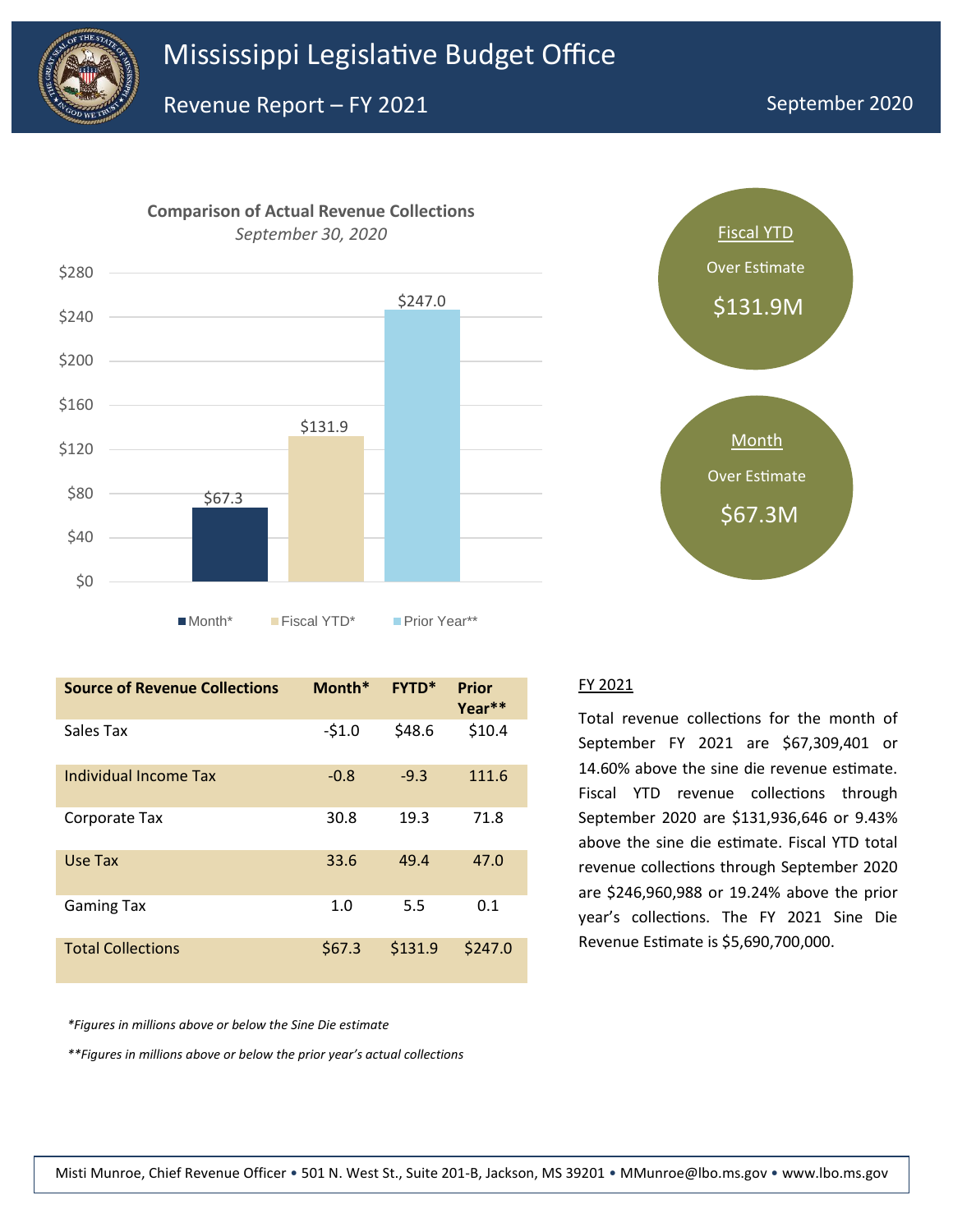

Revenue Report – FY 2021





| <b>Source of Revenue Collections</b> | Month*  | <b>FYTD*</b> | <b>Prior</b><br>Year <sup>**</sup> |
|--------------------------------------|---------|--------------|------------------------------------|
| Sales Tax                            | $-51.0$ | \$48.6       | \$10.4                             |
| Individual Income Tax                | $-0.8$  | $-9.3$       | 111.6                              |
| Corporate Tax                        | 30.8    | 19.3         | 71.8                               |
| Use Tax                              | 33.6    | 49.4         | 47.0                               |
| <b>Gaming Tax</b>                    | 1.0     | 5.5          | 0.1                                |
| <b>Total Collections</b>             | \$67.3  | \$131.9      | \$247.0                            |

FY 2021

Total revenue collections for the month of September FY 2021 are \$67,309,401 or 14.60% above the sine die revenue estimate. Fiscal YTD revenue collections through September 2020 are \$131,936,646 or 9.43% above the sine die estimate. Fiscal YTD total revenue collections through September 2020 are \$246,960,988 or 19.24% above the prior year's collections. The FY 2021 Sine Die Revenue Estimate is \$5,690,700,000.

*\*Figures in millions above or below the Sine Die estimate*

*\*\*Figures in millions above or below the prior year's actual collections*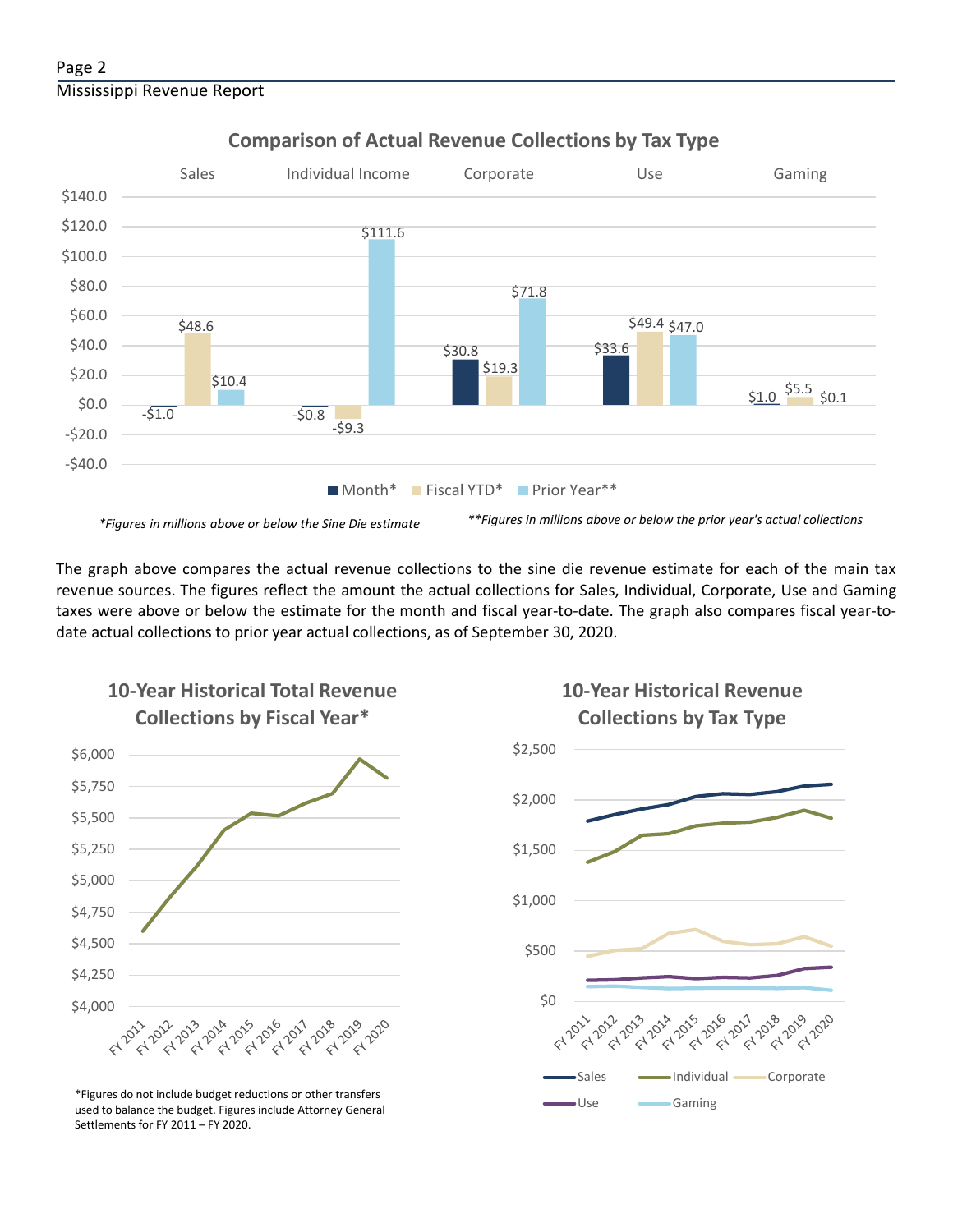

## **Comparison of Actual Revenue Collections by Tax Type**

The graph above compares the actual revenue collections to the sine die revenue estimate for each of the main tax revenue sources. The figures reflect the amount the actual collections for Sales, Individual, Corporate, Use and Gaming taxes were above or below the estimate for the month and fiscal year-to-date. The graph also compares fiscal year-todate actual collections to prior year actual collections, as of September 30, 2020.



**10-Year Historical Total Revenue** 

Use Gaming \*Figures do not include budget reductions or other transfers used to balance the budget. Figures include Attorney General Settlements for FY 2011 – FY 2020.

## **10-Year Historical Revenue Collections by Tax Type**

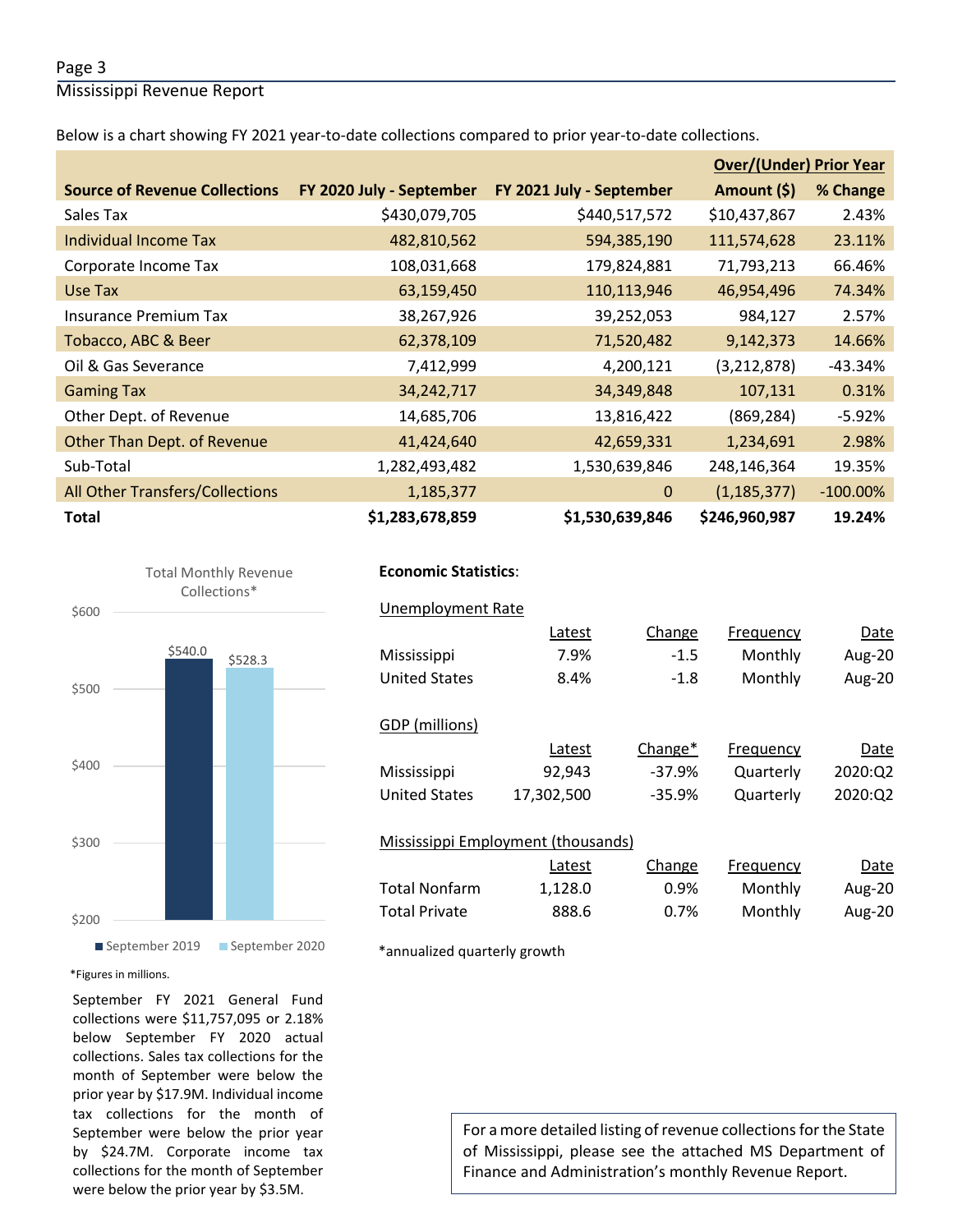#### Page 3

Mississippi Revenue Report

Below is a chart showing FY 2021 year-to-date collections compared to prior year-to-date collections.

|                                      |                          |                          | <b>Over/(Under) Prior Year</b> |             |  |
|--------------------------------------|--------------------------|--------------------------|--------------------------------|-------------|--|
| <b>Source of Revenue Collections</b> | FY 2020 July - September | FY 2021 July - September | Amount (\$)                    | % Change    |  |
| Sales Tax                            | \$430,079,705            | \$440,517,572            | \$10,437,867                   | 2.43%       |  |
| Individual Income Tax                | 482,810,562              | 594,385,190              | 111,574,628                    | 23.11%      |  |
| Corporate Income Tax                 | 108,031,668              | 179,824,881              | 71,793,213                     | 66.46%      |  |
| Use Tax                              | 63,159,450               | 110,113,946              | 46,954,496                     | 74.34%      |  |
| <b>Insurance Premium Tax</b>         | 38,267,926               | 39,252,053               | 984,127                        | 2.57%       |  |
| Tobacco, ABC & Beer                  | 62,378,109               | 71,520,482               | 9,142,373                      | 14.66%      |  |
| Oil & Gas Severance                  | 7,412,999                | 4,200,121                | (3, 212, 878)                  | -43.34%     |  |
| <b>Gaming Tax</b>                    | 34, 242, 717             | 34,349,848               | 107,131                        | 0.31%       |  |
| Other Dept. of Revenue               | 14,685,706               | 13,816,422               | (869, 284)                     | $-5.92%$    |  |
| Other Than Dept. of Revenue          | 41,424,640               | 42,659,331               | 1,234,691                      | 2.98%       |  |
| Sub-Total                            | 1,282,493,482            | 1,530,639,846            | 248,146,364                    | 19.35%      |  |
| All Other Transfers/Collections      | 1,185,377                | $\mathbf{0}$             | (1, 185, 377)                  | $-100.00\%$ |  |
| <b>Total</b>                         | \$1,283,678,859          | \$1,530,639,846          | \$246,960,987                  | 19.24%      |  |



#### September 2019 September 2020

#### \*Figures in millions.

September FY 2021 General Fund collections were \$11,757,095 or 2.18% below September FY 2020 actual collections. Sales tax collections for the month of September were below the prior year by \$17.9M. Individual income tax collections for the month of September were below the prior year by \$24.7M. Corporate income tax collections for the month of September were below the prior year by \$3.5M.

## **Economic Statistics**:  **Economic Statistics**:

### Unemployment Rate Unemployment Rate

|                                    | Latest     | Change   | Frequency | Date          |  |  |  |
|------------------------------------|------------|----------|-----------|---------------|--|--|--|
| Mississippi                        | 7.9%       | $-1.5$   | Monthly   | Aug-20        |  |  |  |
| <b>United States</b>               | 8.4%       | $-1.8$   | Monthly   | Aug-20        |  |  |  |
|                                    |            |          |           |               |  |  |  |
| GDP (millions)                     |            |          |           |               |  |  |  |
|                                    | Latest     | Change*  | Frequency | Date          |  |  |  |
| Mississippi                        | 92,943     | $-37.9%$ | Quarterly | 2020:Q2       |  |  |  |
| <b>United States</b>               | 17,302,500 | $-35.9%$ | Quarterly | 2020:Q2       |  |  |  |
|                                    |            |          |           |               |  |  |  |
| Mississippi Employment (thousands) |            |          |           |               |  |  |  |
|                                    | Latest     | Change   | Frequency | Date          |  |  |  |
| <b>Total Nonfarm</b>               | 1,128.0    | 0.9%     | Monthly   | <b>Aug-20</b> |  |  |  |
| <b>Total Private</b>               | 888.6      | 0.7%     | Monthly   | Aug-20        |  |  |  |

\*annualized quarterly growth

For a more detailed listing of revenue collections for the State of Mississippi, please see the attached MS Department of Finance and Administration's monthly Revenue Report.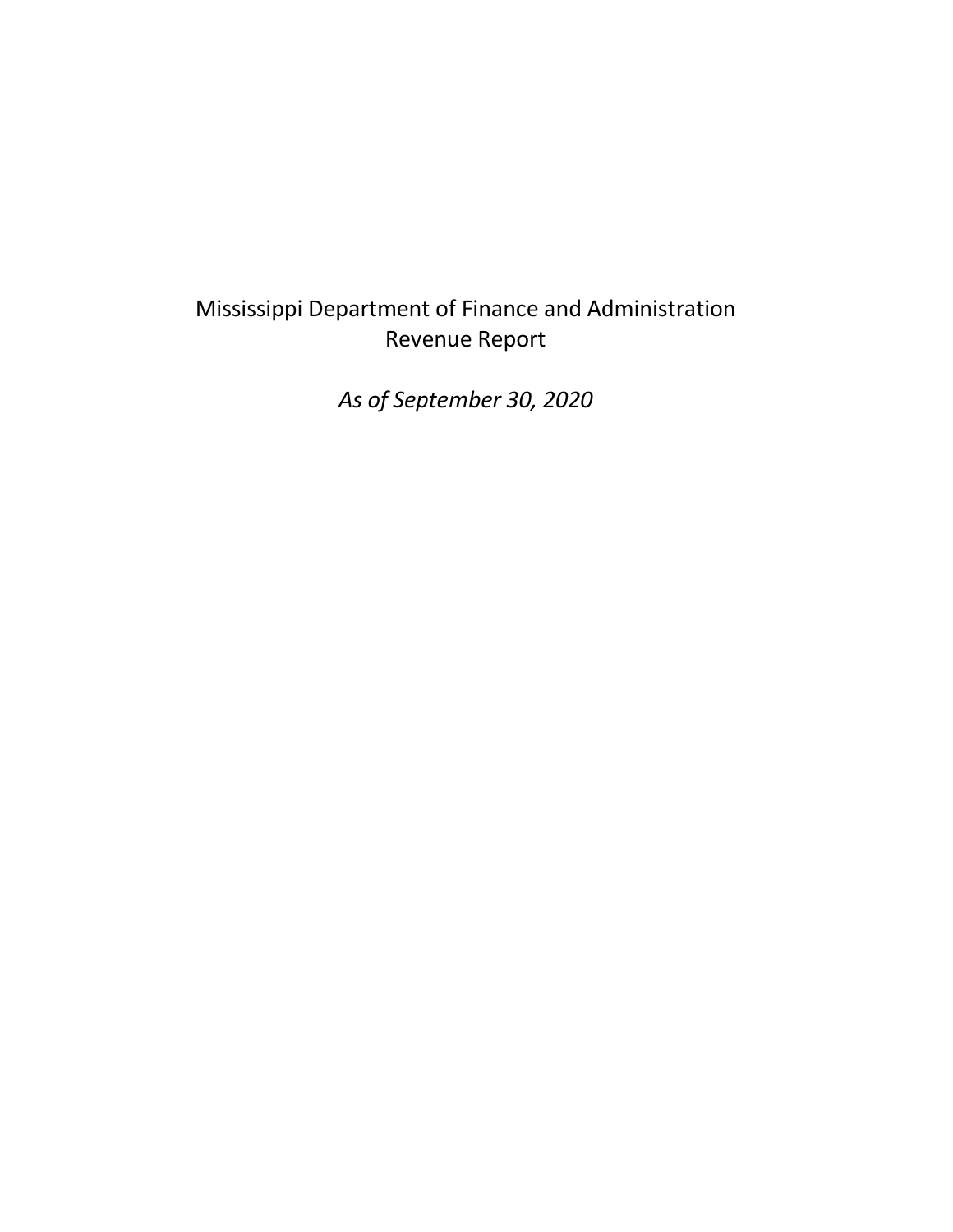## Mississippi Department of Finance and Administration Revenue Report

*As of September 30, 2020*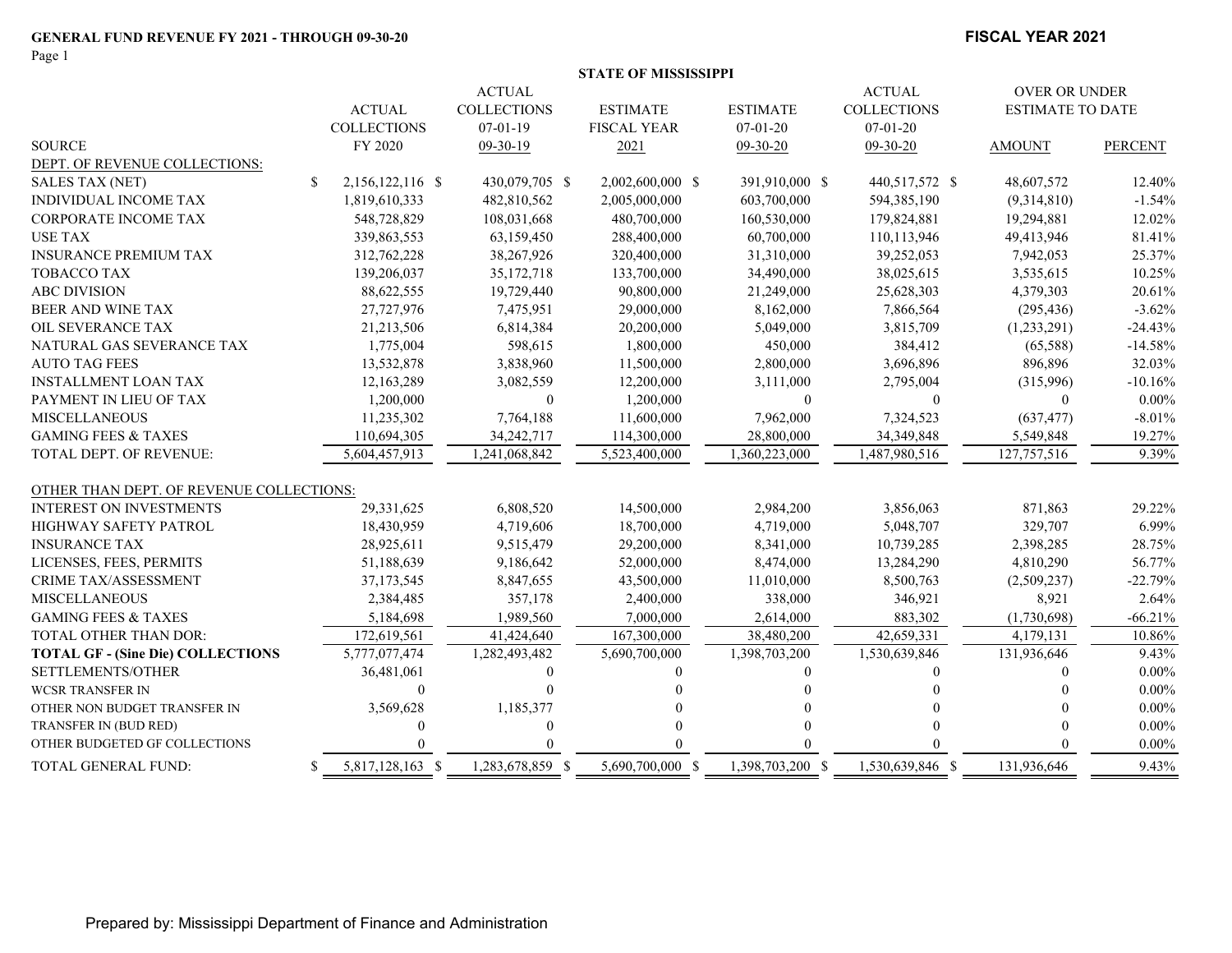Page 1

#### **FISCAL YEAR 2021**

|                                          |                       | <b>ACTUAL</b>      |                    |                  | <b>ACTUAL</b>      | <b>OVER OR UNDER</b>    |                |
|------------------------------------------|-----------------------|--------------------|--------------------|------------------|--------------------|-------------------------|----------------|
|                                          | <b>ACTUAL</b>         | <b>COLLECTIONS</b> | <b>ESTIMATE</b>    | <b>ESTIMATE</b>  | <b>COLLECTIONS</b> | <b>ESTIMATE TO DATE</b> |                |
|                                          | <b>COLLECTIONS</b>    | $07-01-19$         | <b>FISCAL YEAR</b> | $07 - 01 - 20$   | $07 - 01 - 20$     |                         |                |
| <b>SOURCE</b>                            | FY 2020               | 09-30-19           | 2021               | 09-30-20         | 09-30-20           | <b>AMOUNT</b>           | <b>PERCENT</b> |
| DEPT. OF REVENUE COLLECTIONS:            |                       |                    |                    |                  |                    |                         |                |
| <b>SALES TAX (NET)</b>                   | S<br>2,156,122,116 \$ | 430,079,705 \$     | 2,002,600,000 \$   | 391,910,000 \$   | 440,517,572 \$     | 48,607,572              | 12.40%         |
| <b>INDIVIDUAL INCOME TAX</b>             | 1,819,610,333         | 482,810,562        | 2,005,000,000      | 603,700,000      | 594,385,190        | (9,314,810)             | $-1.54%$       |
| <b>CORPORATE INCOME TAX</b>              | 548,728,829           | 108,031,668        | 480,700,000        | 160,530,000      | 179,824,881        | 19,294,881              | 12.02%         |
| <b>USE TAX</b>                           | 339,863,553           | 63,159,450         | 288,400,000        | 60,700,000       | 110,113,946        | 49,413,946              | 81.41%         |
| <b>INSURANCE PREMIUM TAX</b>             | 312,762,228           | 38,267,926         | 320,400,000        | 31,310,000       | 39,252,053         | 7,942,053               | 25.37%         |
| <b>TOBACCO TAX</b>                       | 139,206,037           | 35, 172, 718       | 133,700,000        | 34,490,000       | 38,025,615         | 3,535,615               | 10.25%         |
| <b>ABC DIVISION</b>                      | 88,622,555            | 19,729,440         | 90,800,000         | 21,249,000       | 25,628,303         | 4,379,303               | 20.61%         |
| <b>BEER AND WINE TAX</b>                 | 27,727,976            | 7,475,951          | 29,000,000         | 8,162,000        | 7,866,564          | (295, 436)              | $-3.62%$       |
| OIL SEVERANCE TAX                        | 21,213,506            | 6,814,384          | 20,200,000         | 5,049,000        | 3,815,709          | (1,233,291)             | $-24.43%$      |
| NATURAL GAS SEVERANCE TAX                | 1,775,004             | 598,615            | 1,800,000          | 450,000          | 384,412            | (65,588)                | $-14.58%$      |
| <b>AUTO TAG FEES</b>                     | 13,532,878            | 3,838,960          | 11,500,000         | 2,800,000        | 3,696,896          | 896,896                 | 32.03%         |
| <b>INSTALLMENT LOAN TAX</b>              | 12,163,289            | 3,082,559          | 12,200,000         | 3,111,000        | 2,795,004          | (315,996)               | $-10.16%$      |
| PAYMENT IN LIEU OF TAX                   | 1,200,000             | $\overline{0}$     | 1,200,000          | $\theta$         | $\overline{0}$     | $\mathbf{0}$            | $0.00\%$       |
| <b>MISCELLANEOUS</b>                     | 11,235,302            | 7,764,188          | 11,600,000         | 7,962,000        | 7,324,523          | (637, 477)              | $-8.01%$       |
| <b>GAMING FEES &amp; TAXES</b>           | 110,694,305           | 34,242,717         | 114,300,000        | 28,800,000       | 34, 349, 848       | 5,549,848               | 19.27%         |
| TOTAL DEPT. OF REVENUE:                  | 5,604,457,913         | 1,241,068,842      | 5,523,400,000      | 1,360,223,000    | 1,487,980,516      | 127,757,516             | 9.39%          |
| OTHER THAN DEPT. OF REVENUE COLLECTIONS: |                       |                    |                    |                  |                    |                         |                |
| <b>INTEREST ON INVESTMENTS</b>           | 29,331,625            | 6,808,520          | 14,500,000         | 2,984,200        | 3,856,063          | 871,863                 | 29.22%         |
| HIGHWAY SAFETY PATROL                    | 18,430,959            | 4,719,606          | 18,700,000         | 4,719,000        | 5,048,707          | 329,707                 | 6.99%          |
| <b>INSURANCE TAX</b>                     | 28,925,611            | 9,515,479          | 29,200,000         | 8,341,000        | 10,739,285         | 2,398,285               | 28.75%         |
| LICENSES, FEES, PERMITS                  | 51,188,639            | 9,186,642          | 52,000,000         | 8,474,000        | 13,284,290         | 4,810,290               | 56.77%         |
| <b>CRIME TAX/ASSESSMENT</b>              | 37, 173, 545          | 8,847,655          | 43,500,000         | 11,010,000       | 8,500,763          | (2,509,237)             | $-22.79%$      |
| <b>MISCELLANEOUS</b>                     | 2,384,485             | 357,178            | 2,400,000          | 338,000          | 346,921            | 8,921                   | 2.64%          |
| <b>GAMING FEES &amp; TAXES</b>           | 5,184,698             | 1,989,560          | 7,000,000          | 2,614,000        | 883,302            | (1,730,698)             | $-66.21%$      |
| TOTAL OTHER THAN DOR:                    | 172,619,561           | 41,424,640         | 167,300,000        | 38,480,200       | 42,659,331         | 4,179,131               | 10.86%         |
| <b>TOTAL GF - (Sine Die) COLLECTIONS</b> | 5,777,077,474         | 1,282,493,482      | 5,690,700,000      | 1,398,703,200    | 1,530,639,846      | 131,936,646             | 9.43%          |
| SETTLEMENTS/OTHER                        | 36,481,061            | 0                  |                    | 0                | 0                  |                         | $0.00\%$       |
| <b>WCSR TRANSFER IN</b>                  | $\Omega$              |                    |                    |                  |                    |                         | $0.00\%$       |
| OTHER NON BUDGET TRANSFER IN             | 3,569,628             | 1,185,377          |                    |                  |                    |                         | $0.00\%$       |
| TRANSFER IN (BUD RED)                    | $\Omega$              | 0                  |                    |                  |                    |                         | $0.00\%$       |
| OTHER BUDGETED GF COLLECTIONS            |                       |                    |                    |                  |                    |                         | $0.00\%$       |
| TOTAL GENERAL FUND:                      | 5,817,128,163 \$<br>S | 1,283,678,859 \$   | 5,690,700,000 \$   | 1,398,703,200 \$ | 1,530,639,846 \$   | 131,936,646             | 9.43%          |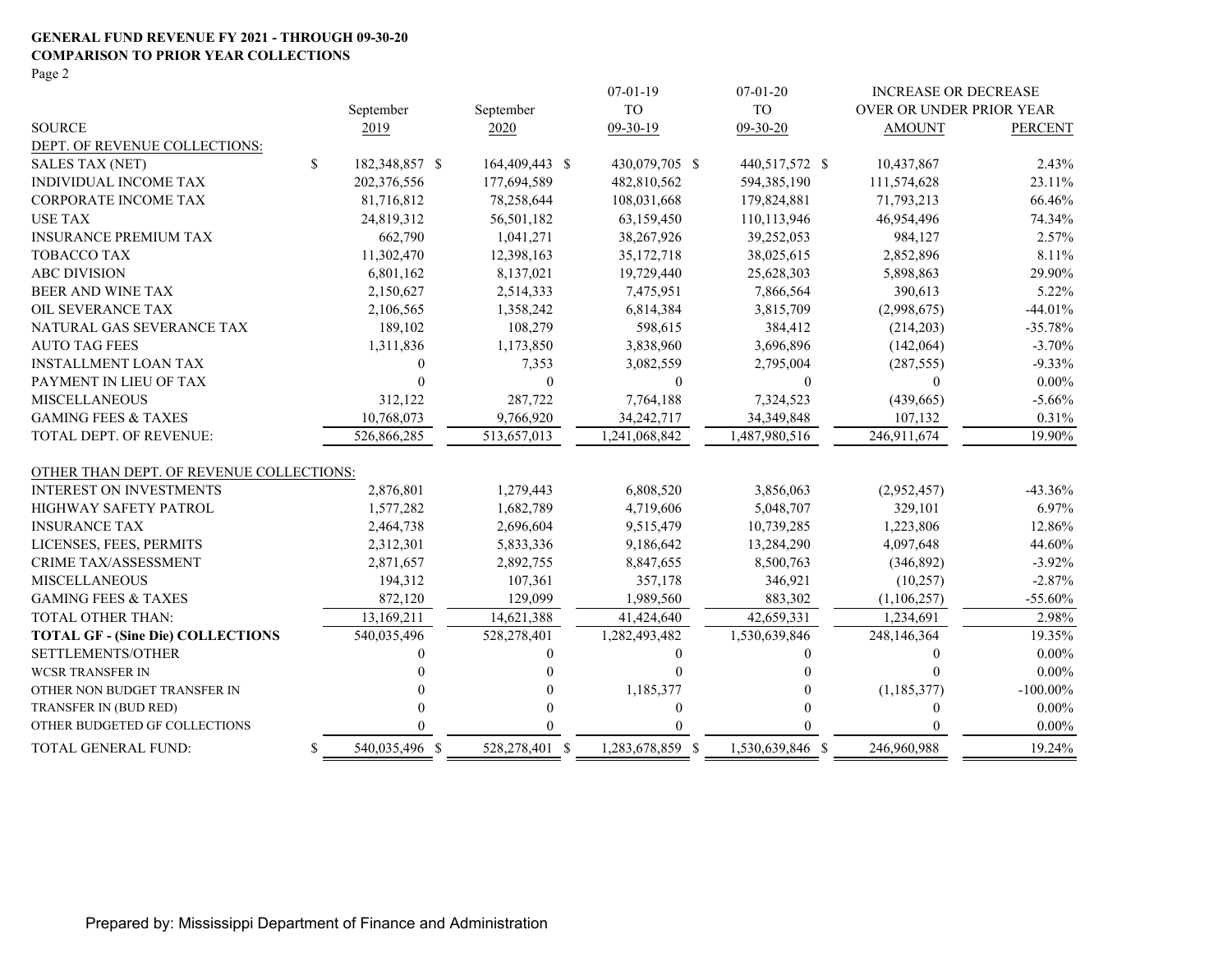#### **GENERAL FUND REVENUE FY 2021 - THROUGH 09-30-20 COMPARISON TO PRIOR YEAR COLLECTIONS** Page 2

|                                          |                      |                | $07-01-19$       | $07-01-20$       | <b>INCREASE OR DECREASE</b> |                |
|------------------------------------------|----------------------|----------------|------------------|------------------|-----------------------------|----------------|
|                                          | September            | September      | <b>TO</b>        | <b>TO</b>        | OVER OR UNDER PRIOR YEAR    |                |
| <b>SOURCE</b>                            | 2019                 | 2020           | 09-30-19         | $09-30-20$       | <b>AMOUNT</b>               | <b>PERCENT</b> |
| DEPT. OF REVENUE COLLECTIONS:            |                      |                |                  |                  |                             |                |
| <b>SALES TAX (NET)</b>                   | \$<br>182,348,857 \$ | 164,409,443 \$ | 430,079,705 \$   | 440,517,572 \$   | 10,437,867                  | 2.43%          |
| <b>INDIVIDUAL INCOME TAX</b>             | 202,376,556          | 177,694,589    | 482,810,562      | 594,385,190      | 111,574,628                 | 23.11%         |
| CORPORATE INCOME TAX                     | 81,716,812           | 78,258,644     | 108,031,668      | 179,824,881      | 71,793,213                  | 66.46%         |
| <b>USE TAX</b>                           | 24,819,312           | 56,501,182     | 63,159,450       | 110,113,946      | 46,954,496                  | 74.34%         |
| <b>INSURANCE PREMIUM TAX</b>             | 662,790              | 1,041,271      | 38,267,926       | 39,252,053       | 984,127                     | 2.57%          |
| <b>TOBACCO TAX</b>                       | 11,302,470           | 12,398,163     | 35, 172, 718     | 38,025,615       | 2,852,896                   | 8.11%          |
| <b>ABC DIVISION</b>                      | 6,801,162            | 8,137,021      | 19,729,440       | 25,628,303       | 5,898,863                   | 29.90%         |
| <b>BEER AND WINE TAX</b>                 | 2,150,627            | 2,514,333      | 7,475,951        | 7,866,564        | 390,613                     | 5.22%          |
| OIL SEVERANCE TAX                        | 2,106,565            | 1,358,242      | 6,814,384        | 3,815,709        | (2,998,675)                 | $-44.01%$      |
| NATURAL GAS SEVERANCE TAX                | 189,102              | 108,279        | 598,615          | 384,412          | (214, 203)                  | $-35.78%$      |
| <b>AUTO TAG FEES</b>                     | 1,311,836            | 1,173,850      | 3,838,960        | 3,696,896        | (142,064)                   | $-3.70%$       |
| <b>INSTALLMENT LOAN TAX</b>              | 0                    | 7,353          | 3,082,559        | 2,795,004        | (287, 555)                  | $-9.33\%$      |
| PAYMENT IN LIEU OF TAX                   |                      | $\theta$       | $\mathbf{0}$     | $\theta$         | $\Omega$                    | $0.00\%$       |
| <b>MISCELLANEOUS</b>                     | 312,122              | 287,722        | 7,764,188        | 7,324,523        | (439, 665)                  | $-5.66%$       |
| <b>GAMING FEES &amp; TAXES</b>           | 10,768,073           | 9,766,920      | 34,242,717       | 34, 349, 848     | 107,132                     | 0.31%          |
| <b>TOTAL DEPT. OF REVENUE:</b>           | 526,866,285          | 513,657,013    | 1,241,068,842    | 1,487,980,516    | 246,911,674                 | 19.90%         |
| OTHER THAN DEPT. OF REVENUE COLLECTIONS: |                      |                |                  |                  |                             |                |
| <b>INTEREST ON INVESTMENTS</b>           | 2,876,801            | 1,279,443      | 6,808,520        | 3,856,063        | (2,952,457)                 | $-43.36%$      |
| HIGHWAY SAFETY PATROL                    | 1,577,282            | 1,682,789      | 4,719,606        | 5,048,707        | 329,101                     | 6.97%          |
| <b>INSURANCE TAX</b>                     | 2,464,738            | 2,696,604      | 9,515,479        | 10,739,285       | 1,223,806                   | 12.86%         |
| LICENSES, FEES, PERMITS                  | 2,312,301            | 5,833,336      | 9,186,642        | 13,284,290       | 4,097,648                   | 44.60%         |
| <b>CRIME TAX/ASSESSMENT</b>              | 2,871,657            | 2,892,755      | 8,847,655        | 8,500,763        | (346,892)                   | $-3.92\%$      |
| <b>MISCELLANEOUS</b>                     | 194,312              | 107,361        | 357,178          | 346,921          | (10, 257)                   | $-2.87%$       |
| <b>GAMING FEES &amp; TAXES</b>           | 872,120              | 129,099        | 1,989,560        | 883,302          | (1,106,257)                 | $-55.60%$      |
| TOTAL OTHER THAN:                        | 13,169,211           | 14,621,388     | 41,424,640       | 42,659,331       | 1,234,691                   | 2.98%          |
| <b>TOTAL GF - (Sine Die) COLLECTIONS</b> | 540,035,496          | 528,278,401    | 1,282,493,482    | 1,530,639,846    | 248,146,364                 | 19.35%         |
| SETTLEMENTS/OTHER                        |                      |                | $\theta$         | 0                | $\theta$                    | $0.00\%$       |
| <b>WCSR TRANSFER IN</b>                  |                      |                | $\theta$         |                  | $\Omega$                    | $0.00\%$       |
| OTHER NON BUDGET TRANSFER IN             |                      |                | 1,185,377        |                  | (1, 185, 377)               | $-100.00\%$    |
| TRANSFER IN (BUD RED)                    |                      |                | $\boldsymbol{0}$ |                  | $\Omega$                    | $0.00\%$       |
| OTHER BUDGETED GF COLLECTIONS            |                      |                |                  |                  |                             | $0.00\%$       |
| TOTAL GENERAL FUND:                      | \$<br>540,035,496 \$ | 528,278,401 \$ | 1,283,678,859 \$ | 1,530,639,846 \$ | 246,960,988                 | 19.24%         |